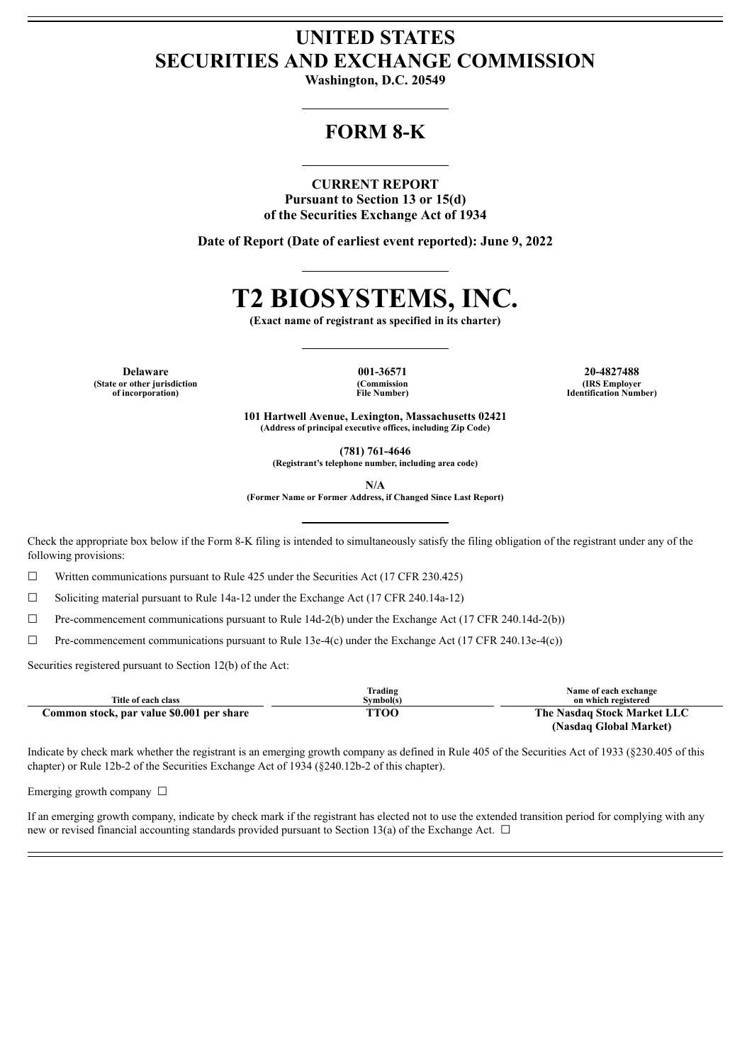## **UNITED STATES SECURITIES AND EXCHANGE COMMISSION**

**Washington, D.C. 20549**

## **FORM 8-K**

### **CURRENT REPORT**

**Pursuant to Section 13 or 15(d) of the Securities Exchange Act of 1934**

**Date of Report (Date of earliest event reported): June 9, 2022**

# **T2 BIOSYSTEMS, INC.**

**(Exact name of registrant as specified in its charter)**

**Delaware 001-36571 20-4827488 (State or other jurisdiction of incorporation)**

**(Commission File Number)**

**(IRS Employer Identification Number)**

**101 Hartwell Avenue, Lexington, Massachusetts 02421 (Address of principal executive offices, including Zip Code)**

**(781) 761-4646**

**(Registrant's telephone number, including area code)**

**N/A**

**(Former Name or Former Address, if Changed Since Last Report)**

Check the appropriate box below if the Form 8-K filing is intended to simultaneously satisfy the filing obligation of the registrant under any of the following provisions:

☐ Written communications pursuant to Rule 425 under the Securities Act (17 CFR 230.425)

 $\Box$  Soliciting material pursuant to Rule 14a-12 under the Exchange Act (17 CFR 240.14a-12)

 $\Box$  Pre-commencement communications pursuant to Rule 14d-2(b) under the Exchange Act (17 CFR 240.14d-2(b))

 $\Box$  Pre-commencement communications pursuant to Rule 13e-4(c) under the Exchange Act (17 CFR 240.13e-4(c))

Securities registered pursuant to Section 12(b) of the Act:

| Title of each class                       | Trading<br>Symbol(s) | Name of each exchange<br>on which registered |
|-------------------------------------------|----------------------|----------------------------------------------|
| Common stock, par value \$0.001 per share | TTOO                 | The Nasdaq Stock Market LLC                  |
|                                           |                      | (Nasdaq Global Market)                       |

Indicate by check mark whether the registrant is an emerging growth company as defined in Rule 405 of the Securities Act of 1933 (§230.405 of this chapter) or Rule 12b-2 of the Securities Exchange Act of 1934 (§240.12b-2 of this chapter).

Emerging growth company  $\Box$ 

If an emerging growth company, indicate by check mark if the registrant has elected not to use the extended transition period for complying with any new or revised financial accounting standards provided pursuant to Section 13(a) of the Exchange Act.  $\Box$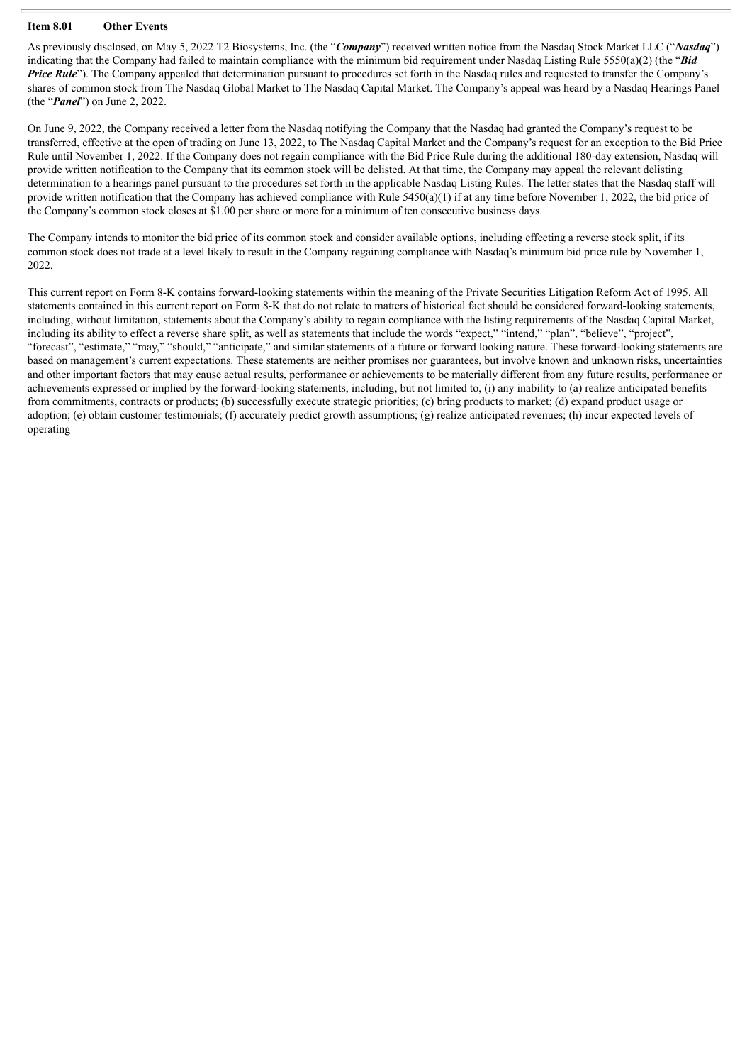#### **Item 8.01 Other Events**

As previously disclosed, on May 5, 2022 T2 Biosystems, Inc. (the "*Company*") received written notice from the Nasdaq Stock Market LLC ("*Nasdaq*") indicating that the Company had failed to maintain compliance with the minimum bid requirement under Nasdaq Listing Rule 5550(a)(2) (the "*Bid Price Rule*"). The Company appealed that determination pursuant to procedures set forth in the Nasdaq rules and requested to transfer the Company's shares of common stock from The Nasdaq Global Market to The Nasdaq Capital Market. The Company's appeal was heard by a Nasdaq Hearings Panel (the "*Panel*") on June 2, 2022.

On June 9, 2022, the Company received a letter from the Nasdaq notifying the Company that the Nasdaq had granted the Company's request to be transferred, effective at the open of trading on June 13, 2022, to The Nasdaq Capital Market and the Company's request for an exception to the Bid Price Rule until November 1, 2022. If the Company does not regain compliance with the Bid Price Rule during the additional 180-day extension, Nasdaq will provide written notification to the Company that its common stock will be delisted. At that time, the Company may appeal the relevant delisting determination to a hearings panel pursuant to the procedures set forth in the applicable Nasdaq Listing Rules. The letter states that the Nasdaq staff will provide written notification that the Company has achieved compliance with Rule  $5450(a)(1)$  if at any time before November 1, 2022, the bid price of the Company's common stock closes at \$1.00 per share or more for a minimum of ten consecutive business days.

The Company intends to monitor the bid price of its common stock and consider available options, including effecting a reverse stock split, if its common stock does not trade at a level likely to result in the Company regaining compliance with Nasdaq's minimum bid price rule by November 1, 2022.

This current report on Form 8-K contains forward-looking statements within the meaning of the Private Securities Litigation Reform Act of 1995. All statements contained in this current report on Form 8-K that do not relate to matters of historical fact should be considered forward-looking statements, including, without limitation, statements about the Company's ability to regain compliance with the listing requirements of the Nasdaq Capital Market, including its ability to effect a reverse share split, as well as statements that include the words "expect," "intend," "plan", "believe", "project", "forecast", "estimate," "may," "should," "anticipate," and similar statements of a future or forward looking nature. These forward-looking statements are based on management's current expectations. These statements are neither promises nor guarantees, but involve known and unknown risks, uncertainties and other important factors that may cause actual results, performance or achievements to be materially different from any future results, performance or achievements expressed or implied by the forward-looking statements, including, but not limited to, (i) any inability to (a) realize anticipated benefits from commitments, contracts or products; (b) successfully execute strategic priorities; (c) bring products to market; (d) expand product usage or adoption; (e) obtain customer testimonials; (f) accurately predict growth assumptions; (g) realize anticipated revenues; (h) incur expected levels of operating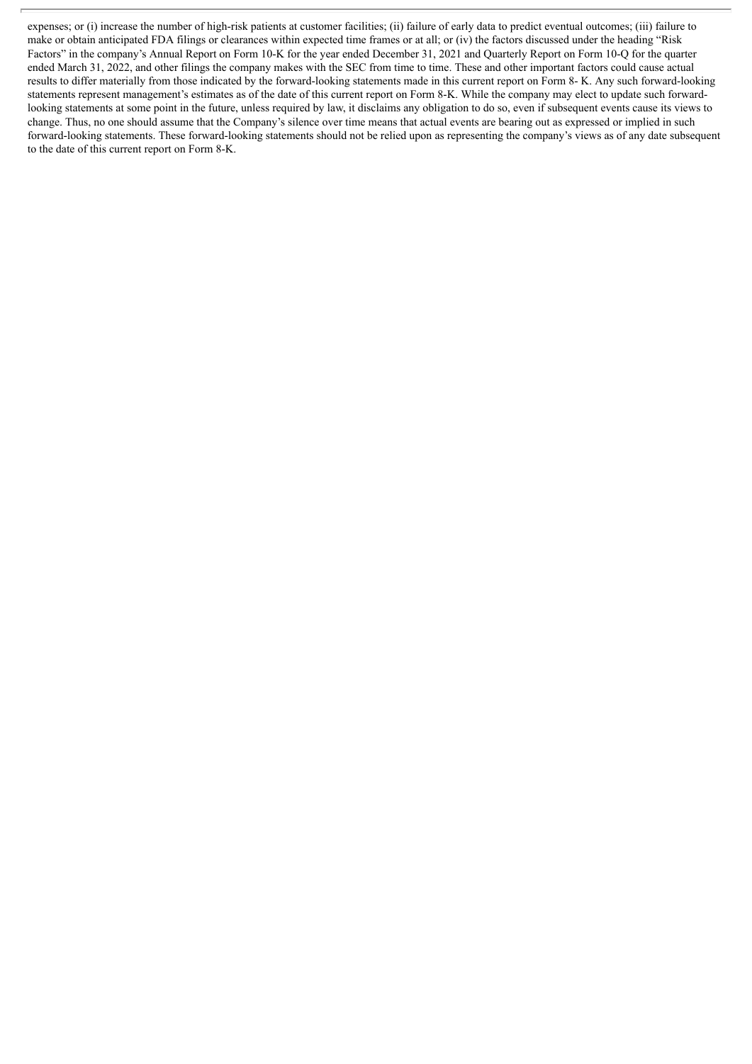expenses; or (i) increase the number of high-risk patients at customer facilities; (ii) failure of early data to predict eventual outcomes; (iii) failure to make or obtain anticipated FDA filings or clearances within expected time frames or at all; or (iv) the factors discussed under the heading "Risk Factors" in the company's Annual Report on Form 10-K for the year ended December 31, 2021 and Quarterly Report on Form 10-Q for the quarter ended March 31, 2022, and other filings the company makes with the SEC from time to time. These and other important factors could cause actual results to differ materially from those indicated by the forward-looking statements made in this current report on Form 8- K. Any such forward-looking statements represent management's estimates as of the date of this current report on Form 8-K. While the company may elect to update such forwardlooking statements at some point in the future, unless required by law, it disclaims any obligation to do so, even if subsequent events cause its views to change. Thus, no one should assume that the Company's silence over time means that actual events are bearing out as expressed or implied in such forward-looking statements. These forward-looking statements should not be relied upon as representing the company's views as of any date subsequent to the date of this current report on Form 8-K.